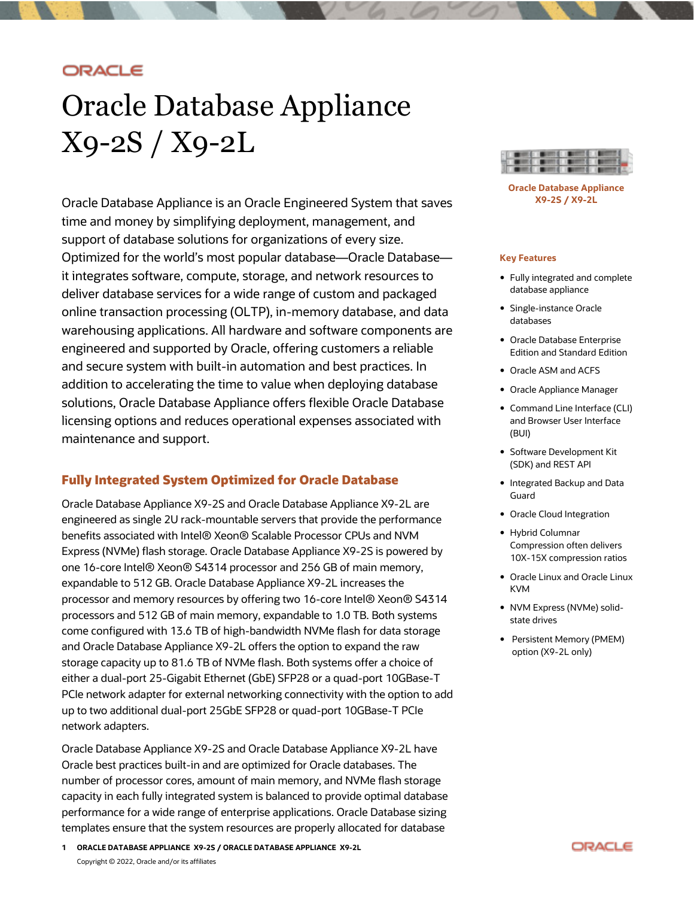# ORACLE

# Oracle Database Appliance X9-2S / X9-2L

Oracle Database Appliance is an Oracle Engineered System that saves time and money by simplifying deployment, management, and support of database solutions for organizations of every size. Optimized for the world's most popular database—Oracle Database it integrates software, compute, storage, and network resources to deliver database services for a wide range of custom and packaged online transaction processing (OLTP), in-memory database, and data warehousing applications. All hardware and software components are engineered and supported by Oracle, offering customers a reliable and secure system with built-in automation and best practices. In addition to accelerating the time to value when deploying database solutions, Oracle Database Appliance offers flexible Oracle Database licensing options and reduces operational expenses associated with maintenance and support.

## **Fully Integrated System Optimized for Oracle Database**

Oracle Database Appliance X9-2S and Oracle Database Appliance X9-2L are engineered as single 2U rack-mountable servers that provide the performance benefits associated with Intel® Xeon® Scalable Processor CPUs and NVM Express (NVMe) flash storage. Oracle Database Appliance X9-2S is powered by one 16-core Intel® Xeon® S4314 processor and 256 GB of main memory, expandable to 512 GB. Oracle Database Appliance X9-2L increases the processor and memory resources by offering two 16-core Intel® Xeon® S4314 processors and 512 GB of main memory, expandable to 1.0 TB. Both systems come configured with 13.6 TB of high-bandwidth NVMe flash for data storage and Oracle Database Appliance X9-2L offers the option to expand the raw storage capacity up to 81.6 TB of NVMe flash. Both systems offer a choice of either a dual-port 25-Gigabit Ethernet (GbE) SFP28 or a quad-port 10GBase-T PCIe network adapter for external networking connectivity with the option to add up to two additional dual-port 25GbE SFP28 or quad-port 10GBase-T PCIe network adapters.

Oracle Database Appliance X9-2S and Oracle Database Appliance X9-2L have Oracle best practices built-in and are optimized for Oracle databases. The number of processor cores, amount of main memory, and NVMe flash storage capacity in each fully integrated system is balanced to provide optimal database performance for a wide range of enterprise applications. Oracle Database sizing templates ensure that the system resources are properly allocated for database



**Oracle Database Appliance X9-2S / X9-2L**

#### **Key Features**

- Fully integrated and complete database appliance
- Single-instance Oracle databases
- Oracle Database Enterprise Edition and Standard Edition
- Oracle ASM and ACFS
- Oracle Appliance Manager
- Command Line Interface (CLI) and Browser User Interface (BUI)
- Software Development Kit (SDK) and REST API
- Integrated Backup and Data Guard
- Oracle Cloud Integration
- Hybrid Columnar Compression often delivers 10X-15X compression ratios
- Oracle Linux and Oracle Linux KVM
- NVM Express (NVMe) solidstate drives
- Persistent Memory (PMEM) option (X9-2L only)

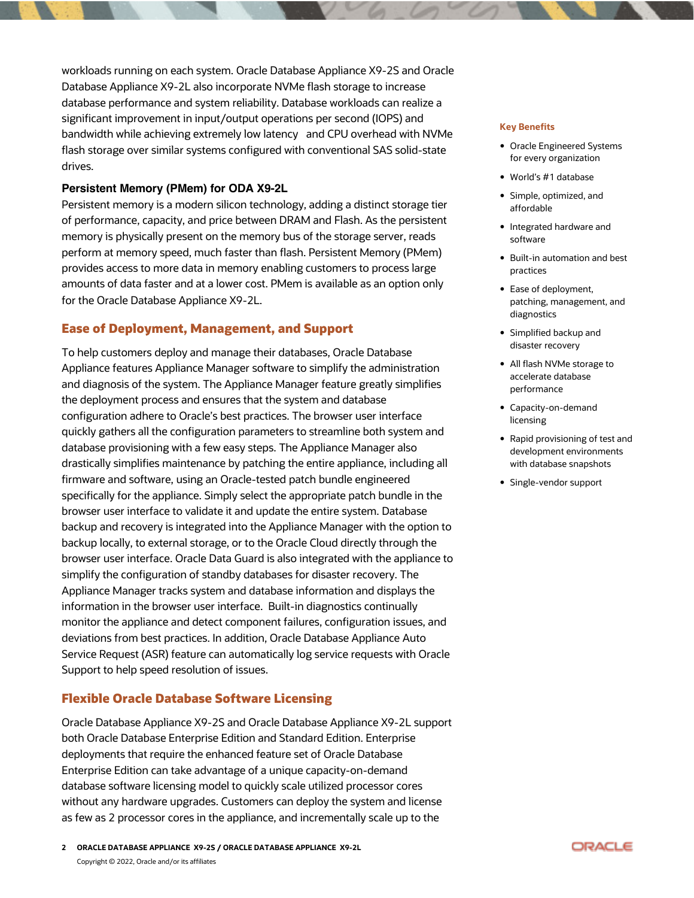workloads running on each system. Oracle Database Appliance X9-2S and Oracle Database Appliance X9-2L also incorporate NVMe flash storage to increase database performance and system reliability. Database workloads can realize a significant improvement in input/output operations per second (IOPS) and bandwidth while achieving extremely low latency and CPU overhead with NVMe flash storage over similar systems configured with conventional SAS solid-state drives.

#### **Persistent Memory (PMem) for ODA X9-2L**

Persistent memory is a modern silicon technology, adding a distinct storage tier of performance, capacity, and price between DRAM and Flash. As the persistent memory is physically present on the memory bus of the storage server, reads perform at memory speed, much faster than flash. Persistent Memory (PMem) provides access to more data in memory enabling customers to process large amounts of data faster and at a lower cost. PMem is available as an option only for the Oracle Database Appliance X9-2L.

## **Ease of Deployment, Management, and Support**

To help customers deploy and manage their databases, Oracle Database Appliance features Appliance Manager software to simplify the administration and diagnosis of the system. The Appliance Manager feature greatly simplifies the deployment process and ensures that the system and database configuration adhere to Oracle's best practices. The browser user interface quickly gathers all the configuration parameters to streamline both system and database provisioning with a few easy steps. The Appliance Manager also drastically simplifies maintenance by patching the entire appliance, including all firmware and software, using an Oracle-tested patch bundle engineered specifically for the appliance. Simply select the appropriate patch bundle in the browser user interface to validate it and update the entire system. Database backup and recovery is integrated into the Appliance Manager with the option to backup locally, to external storage, or to the Oracle Cloud directly through the browser user interface. Oracle Data Guard is also integrated with the appliance to simplify the configuration of standby databases for disaster recovery. The Appliance Manager tracks system and database information and displays the information in the browser user interface. Built-in diagnostics continually monitor the appliance and detect component failures, configuration issues, and deviations from best practices. In addition, Oracle Database Appliance Auto Service Request (ASR) feature can automatically log service requests with Oracle Support to help speed resolution of issues.

## **Flexible Oracle Database Software Licensing**

Oracle Database Appliance X9-2S and Oracle Database Appliance X9-2L support both Oracle Database Enterprise Edition and Standard Edition. Enterprise deployments that require the enhanced feature set of Oracle Database Enterprise Edition can take advantage of a unique capacity-on-demand database software licensing model to quickly scale utilized processor cores without any hardware upgrades. Customers can deploy the system and license as few as 2 processor cores in the appliance, and incrementally scale up to the

#### **Key Benefits**

- Oracle Engineered Systems for every organization
- World's #1 database
- Simple, optimized, and affordable
- Integrated hardware and software
- Built-in automation and best practices
- Ease of deployment, patching, management, and diagnostics
- Simplified backup and disaster recovery
- All flash NVMe storage to accelerate database performance
- Capacity-on-demand licensing
- Rapid provisioning of test and development environments with database snapshots
- Single-vendor support

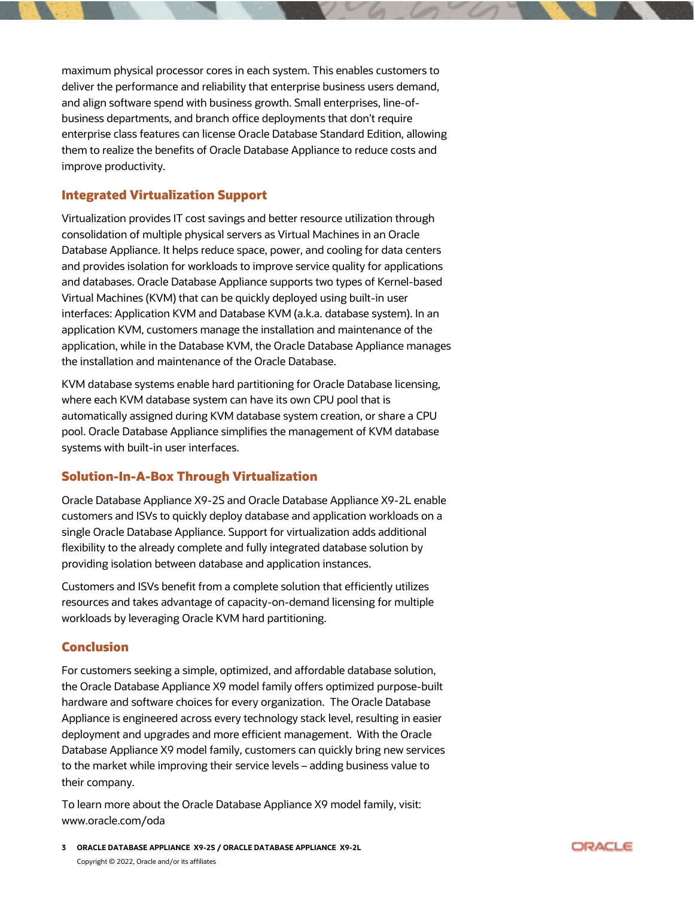maximum physical processor cores in each system. This enables customers to deliver the performance and reliability that enterprise business users demand, and align software spend with business growth. Small enterprises, line-ofbusiness departments, and branch office deployments that don't require enterprise class features can license Oracle Database Standard Edition, allowing them to realize the benefits of Oracle Database Appliance to reduce costs and improve productivity.

## **Integrated Virtualization Support**

Virtualization provides IT cost savings and better resource utilization through consolidation of multiple physical servers as Virtual Machines in an Oracle Database Appliance. It helps reduce space, power, and cooling for data centers and provides isolation for workloads to improve service quality for applications and databases. Oracle Database Appliance supports two types of Kernel-based Virtual Machines (KVM) that can be quickly deployed using built-in user interfaces: Application KVM and Database KVM (a.k.a. database system). In an application KVM, customers manage the installation and maintenance of the application, while in the Database KVM, the Oracle Database Appliance manages the installation and maintenance of the Oracle Database.

KVM database systems enable hard partitioning for Oracle Database licensing, where each KVM database system can have its own CPU pool that is automatically assigned during KVM database system creation, or share a CPU pool. Oracle Database Appliance simplifies the management of KVM database systems with built-in user interfaces.

## **Solution-In-A-Box Through Virtualization**

Oracle Database Appliance X9-2S and Oracle Database Appliance X9-2L enable customers and ISVs to quickly deploy database and application workloads on a single Oracle Database Appliance. Support for virtualization adds additional flexibility to the already complete and fully integrated database solution by providing isolation between database and application instances.

Customers and ISVs benefit from a complete solution that efficiently utilizes resources and takes advantage of capacity-on-demand licensing for multiple workloads by leveraging Oracle KVM hard partitioning.

## **Conclusion**

For customers seeking a simple, optimized, and affordable database solution, the Oracle Database Appliance X9 model family offers optimized purpose-built hardware and software choices for every organization. The Oracle Database Appliance is engineered across every technology stack level, resulting in easier deployment and upgrades and more efficient management. With the Oracle Database Appliance X9 model family, customers can quickly bring new services to the market while improving their service levels – adding business value to their company.

To learn more about the Oracle Database Appliance X9 model family, visit: www.oracle.com/oda

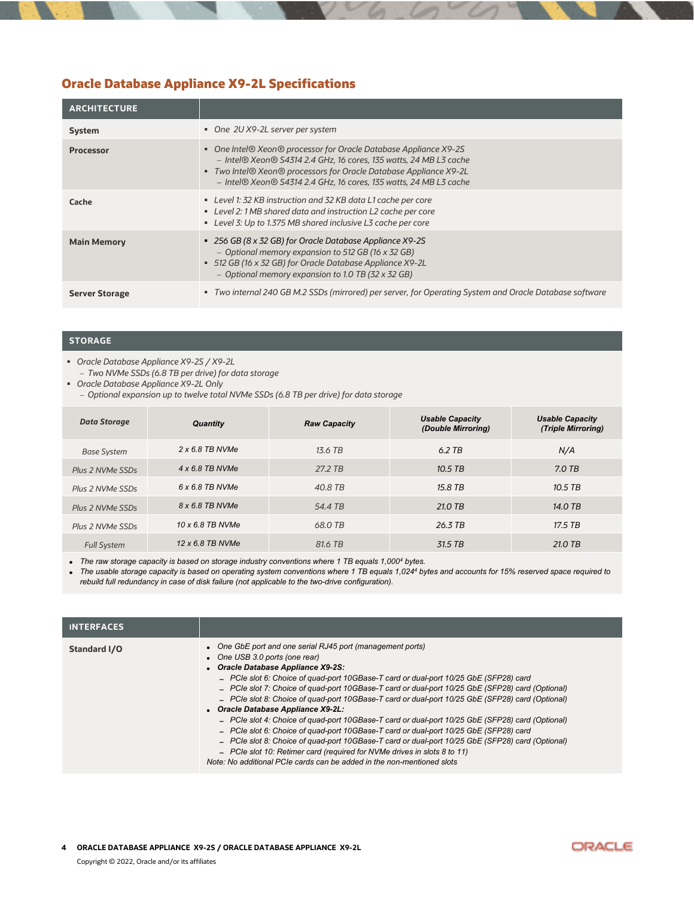# **Oracle Database Appliance X9-2L Specifications**

| <b>ARCHITECTURE</b>   |                                                                                                                                                                                                                                                                                 |
|-----------------------|---------------------------------------------------------------------------------------------------------------------------------------------------------------------------------------------------------------------------------------------------------------------------------|
| <b>System</b>         | • One 2U X9-2L server per system                                                                                                                                                                                                                                                |
| <b>Processor</b>      | • One Intel® Xeon® processor for Oracle Database Appliance X9-2S<br>- Intel® Xeon® S4314 2.4 GHz, 16 cores, 135 watts, 24 MB L3 cache<br>■ Two Intel® Xeon® processors for Oracle Database Appliance X9-2L<br>- Intel® Xeon® S4314 2.4 GHz, 16 cores, 135 watts, 24 MB L3 cache |
| Cache                 | • Level 1: 32 KB instruction and 32 KB data L1 cache per core<br>• Level 2: 1 MB shared data and instruction L2 cache per core<br>• Level 3: Up to 1.375 MB shared inclusive L3 cache per core                                                                                  |
| <b>Main Memory</b>    | ■ 256 GB (8 x 32 GB) for Oracle Database Appliance X9-2S<br>- Optional memory expansion to 512 GB (16 x 32 GB)<br>• 512 GB (16 x 32 GB) for Oracle Database Appliance X9-2L<br>- Optional memory expansion to 1.0 TB (32 x 32 GB)                                               |
| <b>Server Storage</b> | Two internal 240 GB M.2 SSDs (mirrored) per server, for Operating System and Oracle Database software                                                                                                                                                                           |

## **STORAGE**

§ *Oracle Database Appliance X9-2S / X9-2L* - *Two NVMe SSDs (6.8 TB per drive) for data storage*

§ *Oracle Database Appliance X9-2L Only*

- *Optional expansion up to twelve total NVMe SSDs (6.8 TB per drive) for data storage*

| <b>Data Storage</b> | Quantity                | <b>Raw Capacity</b> | <b>Usable Capacity</b><br>(Double Mirroring) | <b>Usable Capacity</b><br>(Triple Mirroring) |
|---------------------|-------------------------|---------------------|----------------------------------------------|----------------------------------------------|
| <b>Base System</b>  | $2 \times 6.8$ TB NVMe  | 13.6 TB             | $6.2$ TB                                     | N/A                                          |
| Plus 2 NVMe SSDs    | $4 \times 6.8$ TB NVMe  | 27.2 TR             | 10.5 TB                                      | 7.0 TB                                       |
| Plus 2 NVMe SSDs    | $6 \times 6.8$ TB NVMe  | 40.8 TB             | 15.8 TB                                      | 10.5 TB                                      |
| Plus 2 NVMe SSDs    | $8 \times 6.8$ TB NVMe  | 54.4 TB             | 21.0 TB                                      | 14.0 TB                                      |
| Plus 2 NVMe SSDs    | $10 \times 6.8$ TB NVMe | 68.0 TB             | 26.3 TB                                      | 17.5 TB                                      |
| <b>Full System</b>  | $12 \times 6.8$ TB NVMe | 81.6 TB             | 31.5 TB                                      | 21.0 TB                                      |

• *The raw storage capacity is based on storage industry conventions where 1 TB equals 1,000<sup>4</sup> bytes.*

• *The usable storage capacity is based on operating system conventions where 1 TB equals 1,024<sup>4</sup> bytes and accounts for 15% reserved space required to rebuild full redundancy in case of disk failure (not applicable to the two-drive configuration).*

| <b>INTERFACES</b> |                                                                                                                                                                                                                                                                                                                                                                                                                                                                                                                                                                                                                                                                                                                                                                                                                                                                                                                                  |
|-------------------|----------------------------------------------------------------------------------------------------------------------------------------------------------------------------------------------------------------------------------------------------------------------------------------------------------------------------------------------------------------------------------------------------------------------------------------------------------------------------------------------------------------------------------------------------------------------------------------------------------------------------------------------------------------------------------------------------------------------------------------------------------------------------------------------------------------------------------------------------------------------------------------------------------------------------------|
| Standard I/O      | • One GbE port and one serial RJ45 port (management ports)<br>• One USB 3.0 ports (one rear)<br>• Oracle Database Appliance X9-2S:<br>- PCIe slot 6: Choice of quad-port 10GBase-T card or dual-port 10/25 GbE (SFP28) card<br>- PCIe slot 7: Choice of quad-port 10GBase-T card or dual-port 10/25 GbE (SFP28) card (Optional)<br>- PCIe slot 8: Choice of quad-port 10GBase-T card or dual-port 10/25 GbE (SFP28) card (Optional)<br>• Oracle Database Appliance X9-2L:<br>- PCIe slot 4: Choice of quad-port 10GBase-T card or dual-port 10/25 GbE (SFP28) card (Optional)<br>- PCIe slot 6: Choice of quad-port 10GBase-T card or dual-port 10/25 GbE (SFP28) card<br>- PCIe slot 8: Choice of quad-port 10GBase-T card or dual-port 10/25 GbE (SFP28) card (Optional)<br>- PCIe slot 10: Retimer card (required for NVMe drives in slots 8 to 11)<br>Note: No additional PCIe cards can be added in the non-mentioned slots |

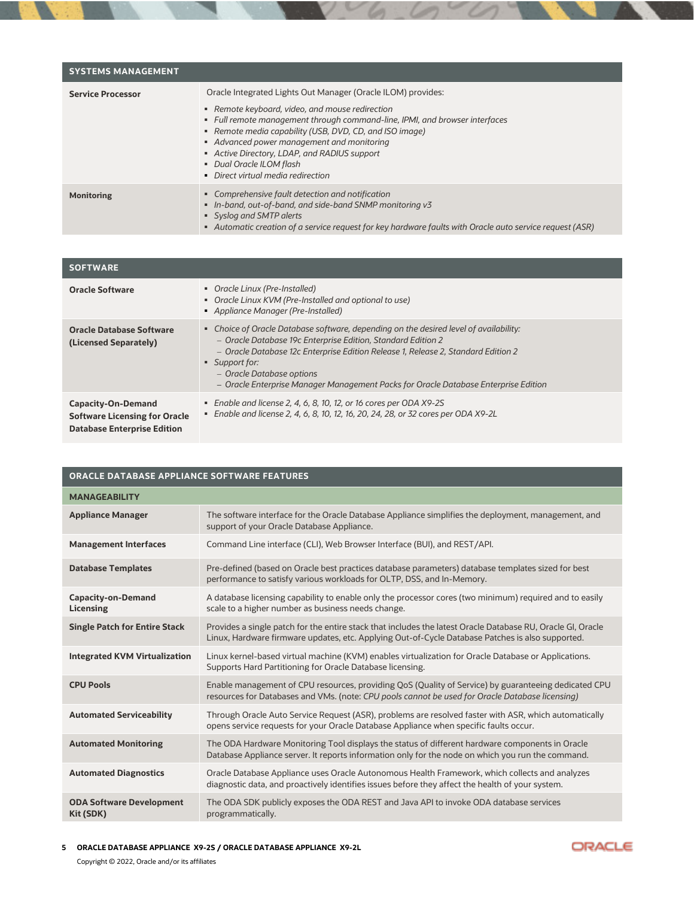| <b>SYSTEMS MANAGEMENT</b> |                                                                                                                                                                                                                                                                                                                                                                                                                         |
|---------------------------|-------------------------------------------------------------------------------------------------------------------------------------------------------------------------------------------------------------------------------------------------------------------------------------------------------------------------------------------------------------------------------------------------------------------------|
| <b>Service Processor</b>  | Oracle Integrated Lights Out Manager (Oracle ILOM) provides:<br>• Remote keyboard, video, and mouse redirection<br>• Full remote management through command-line, IPMI, and browser interfaces<br>• Remote media capability (USB, DVD, CD, and ISO image)<br>• Advanced power management and monitoring<br>Active Directory, LDAP, and RADIUS support<br>• Dual Oracle ILOM flash<br>• Direct virtual media redirection |
| <b>Monitoring</b>         | • Comprehensive fault detection and notification<br>In-band, out-of-band, and side-band SNMP monitoring v3<br>Syslog and SMTP alerts<br>Automatic creation of a service request for key hardware faults with Oracle auto service request (ASR)                                                                                                                                                                          |

| <b>SOFTWARE</b>                                                                                         |                                                                                                                                                                                                                                                                                                                                                                                  |
|---------------------------------------------------------------------------------------------------------|----------------------------------------------------------------------------------------------------------------------------------------------------------------------------------------------------------------------------------------------------------------------------------------------------------------------------------------------------------------------------------|
| <b>Oracle Software</b>                                                                                  | • Oracle Linux (Pre-Installed)<br>• Oracle Linux KVM (Pre-Installed and optional to use)<br>• Appliance Manager (Pre-Installed)                                                                                                                                                                                                                                                  |
| <b>Oracle Database Software</b><br>(Licensed Separately)                                                | • Choice of Oracle Database software, depending on the desired level of availability:<br>- Oracle Database 19c Enterprise Edition, Standard Edition 2<br>- Oracle Database 12c Enterprise Edition Release 1, Release 2, Standard Edition 2<br>■ Support for:<br>- Oracle Database options<br>- Oracle Enterprise Manager Management Packs for Oracle Database Enterprise Edition |
| <b>Capacity-On-Demand</b><br><b>Software Licensing for Oracle</b><br><b>Database Enterprise Edition</b> | • Enable and license 2, 4, 6, 8, 10, 12, or 16 cores per ODA X9-2S<br>• Enable and license 2, 4, 6, 8, 10, 12, 16, 20, 24, 28, or 32 cores per ODA X9-2L                                                                                                                                                                                                                         |

| <b>ORACLE DATABASE APPLIANCE SOFTWARE FEATURES</b> |                                                                                                                                                                                                                 |  |
|----------------------------------------------------|-----------------------------------------------------------------------------------------------------------------------------------------------------------------------------------------------------------------|--|
| <b>MANAGEABILITY</b>                               |                                                                                                                                                                                                                 |  |
| <b>Appliance Manager</b>                           | The software interface for the Oracle Database Appliance simplifies the deployment, management, and<br>support of your Oracle Database Appliance.                                                               |  |
| <b>Management Interfaces</b>                       | Command Line interface (CLI), Web Browser Interface (BUI), and REST/API.                                                                                                                                        |  |
| <b>Database Templates</b>                          | Pre-defined (based on Oracle best practices database parameters) database templates sized for best<br>performance to satisfy various workloads for OLTP, DSS, and In-Memory.                                    |  |
| <b>Capacity-on-Demand</b><br>Licensing             | A database licensing capability to enable only the processor cores (two minimum) required and to easily<br>scale to a higher number as business needs change.                                                   |  |
| <b>Single Patch for Entire Stack</b>               | Provides a single patch for the entire stack that includes the latest Oracle Database RU, Oracle GI, Oracle<br>Linux, Hardware firmware updates, etc. Applying Out-of-Cycle Database Patches is also supported. |  |
| <b>Integrated KVM Virtualization</b>               | Linux kernel-based virtual machine (KVM) enables virtualization for Oracle Database or Applications.<br>Supports Hard Partitioning for Oracle Database licensing.                                               |  |
| <b>CPU Pools</b>                                   | Enable management of CPU resources, providing QoS (Quality of Service) by guaranteeing dedicated CPU<br>resources for Databases and VMs. (note: CPU pools cannot be used for Oracle Database licensing)         |  |
| <b>Automated Serviceability</b>                    | Through Oracle Auto Service Request (ASR), problems are resolved faster with ASR, which automatically<br>opens service requests for your Oracle Database Appliance when specific faults occur.                  |  |
| <b>Automated Monitoring</b>                        | The ODA Hardware Monitoring Tool displays the status of different hardware components in Oracle<br>Database Appliance server. It reports information only for the node on which you run the command.            |  |
| <b>Automated Diagnostics</b>                       | Oracle Database Appliance uses Oracle Autonomous Health Framework, which collects and analyzes<br>diagnostic data, and proactively identifies issues before they affect the health of your system.              |  |
| <b>ODA Software Development</b><br>Kit (SDK)       | The ODA SDK publicly exposes the ODA REST and Java API to invoke ODA database services<br>programmatically.                                                                                                     |  |
|                                                    |                                                                                                                                                                                                                 |  |

**5 ORACLE DATABASE APPLIANCE X9-2S / ORACLE DATABASE APPLIANCE X9-2L**

Copyright © 2022, Oracle and/or its affiliates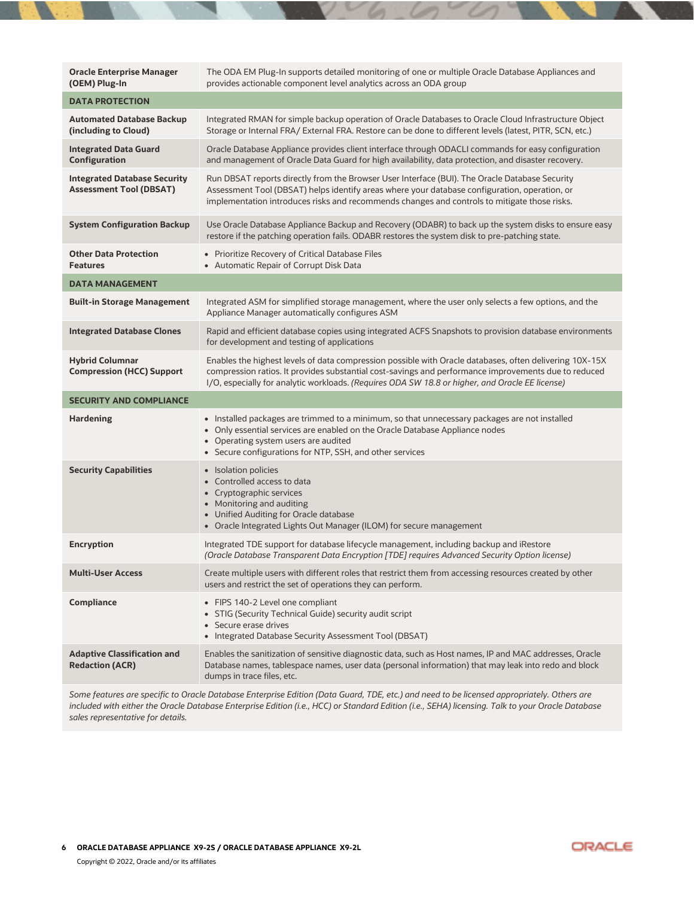| <b>Oracle Enterprise Manager</b><br>(OEM) Plug-In                     | The ODA EM Plug-In supports detailed monitoring of one or multiple Oracle Database Appliances and<br>provides actionable component level analytics across an ODA group                                                                                                                                             |
|-----------------------------------------------------------------------|--------------------------------------------------------------------------------------------------------------------------------------------------------------------------------------------------------------------------------------------------------------------------------------------------------------------|
| <b>DATA PROTECTION</b>                                                |                                                                                                                                                                                                                                                                                                                    |
| <b>Automated Database Backup</b><br>(including to Cloud)              | Integrated RMAN for simple backup operation of Oracle Databases to Oracle Cloud Infrastructure Object<br>Storage or Internal FRA/External FRA. Restore can be done to different levels (latest, PITR, SCN, etc.)                                                                                                   |
| <b>Integrated Data Guard</b><br>Configuration                         | Oracle Database Appliance provides client interface through ODACLI commands for easy configuration<br>and management of Oracle Data Guard for high availability, data protection, and disaster recovery.                                                                                                           |
| <b>Integrated Database Security</b><br><b>Assessment Tool (DBSAT)</b> | Run DBSAT reports directly from the Browser User Interface (BUI). The Oracle Database Security<br>Assessment Tool (DBSAT) helps identify areas where your database configuration, operation, or<br>implementation introduces risks and recommends changes and controls to mitigate those risks.                    |
| <b>System Configuration Backup</b>                                    | Use Oracle Database Appliance Backup and Recovery (ODABR) to back up the system disks to ensure easy<br>restore if the patching operation fails. ODABR restores the system disk to pre-patching state.                                                                                                             |
| <b>Other Data Protection</b><br><b>Features</b>                       | • Prioritize Recovery of Critical Database Files<br>• Automatic Repair of Corrupt Disk Data                                                                                                                                                                                                                        |
| <b>DATA MANAGEMENT</b>                                                |                                                                                                                                                                                                                                                                                                                    |
| <b>Built-in Storage Management</b>                                    | Integrated ASM for simplified storage management, where the user only selects a few options, and the<br>Appliance Manager automatically configures ASM                                                                                                                                                             |
| <b>Integrated Database Clones</b>                                     | Rapid and efficient database copies using integrated ACFS Snapshots to provision database environments<br>for development and testing of applications                                                                                                                                                              |
| <b>Hybrid Columnar</b><br><b>Compression (HCC) Support</b>            | Enables the highest levels of data compression possible with Oracle databases, often delivering 10X-15X<br>compression ratios. It provides substantial cost-savings and performance improvements due to reduced<br>I/O, especially for analytic workloads. (Requires ODA SW 18.8 or higher, and Oracle EE license) |
| <b>SECURITY AND COMPLIANCE</b>                                        |                                                                                                                                                                                                                                                                                                                    |
| <b>Hardening</b>                                                      | • Installed packages are trimmed to a minimum, so that unnecessary packages are not installed<br>• Only essential services are enabled on the Oracle Database Appliance nodes<br>• Operating system users are audited<br>• Secure configurations for NTP, SSH, and other services                                  |
| <b>Security Capabilities</b>                                          | • Isolation policies<br>• Controlled access to data<br>• Cryptographic services<br>• Monitoring and auditing<br>• Unified Auditing for Oracle database<br>• Oracle Integrated Lights Out Manager (ILOM) for secure management                                                                                      |
| <b>Encryption</b>                                                     | Integrated TDE support for database lifecycle management, including backup and iRestore<br>(Oracle Database Transparent Data Encryption [TDE] requires Advanced Security Option license)                                                                                                                           |
| <b>Multi-User Access</b>                                              | Create multiple users with different roles that restrict them from accessing resources created by other<br>users and restrict the set of operations they can perform.                                                                                                                                              |
| Compliance                                                            | • FIPS 140-2 Level one compliant<br>• STIG (Security Technical Guide) security audit script<br>• Secure erase drives<br>• Integrated Database Security Assessment Tool (DBSAT)                                                                                                                                     |
| <b>Adaptive Classification and</b><br><b>Redaction (ACR)</b>          | Enables the sanitization of sensitive diagnostic data, such as Host names, IP and MAC addresses, Oracle<br>Database names, tablespace names, user data (personal information) that may leak into redo and block<br>dumps in trace files, etc.                                                                      |

*Some features are specific to Oracle Database Enterprise Edition (Data Guard, TDE, etc.) and need to be licensed appropriately. Others are included with either the Oracle Database Enterprise Edition (i.e., HCC) or Standard Edition (i.e., SEHA) licensing. Talk to your Oracle Database sales representative for details.*

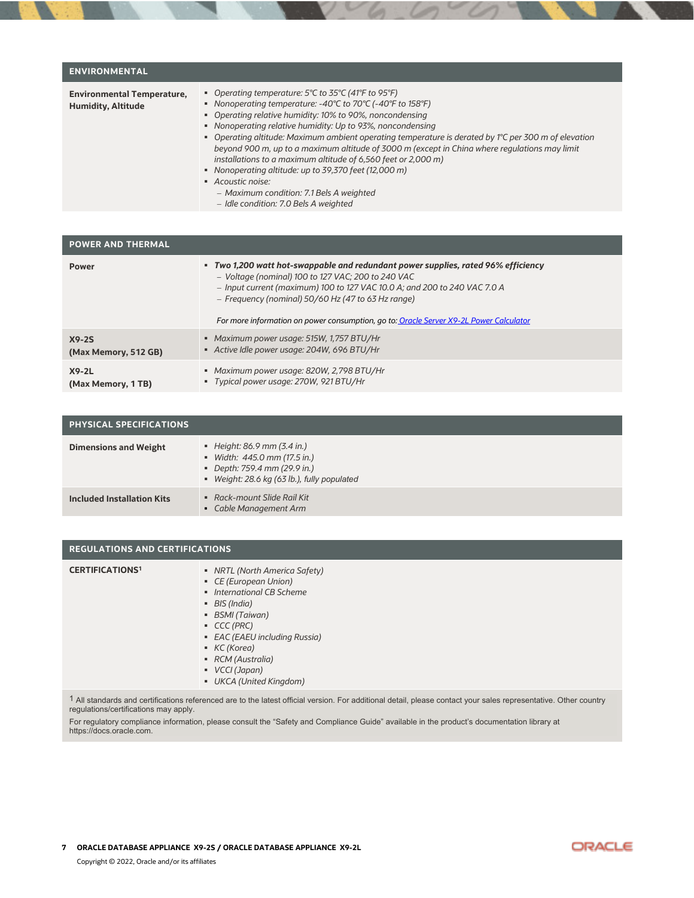| <b>ENVIRONMENTAL</b>                                           |                                                                                                                                                                                                                                                                                                                                                                                                                                                                                                                                                                                                                                                                                          |
|----------------------------------------------------------------|------------------------------------------------------------------------------------------------------------------------------------------------------------------------------------------------------------------------------------------------------------------------------------------------------------------------------------------------------------------------------------------------------------------------------------------------------------------------------------------------------------------------------------------------------------------------------------------------------------------------------------------------------------------------------------------|
| <b>Environmental Temperature,</b><br><b>Humidity, Altitude</b> | • Operating temperature: 5°C to 35°C (41°F to 95°F)<br>• Nonoperating temperature: -40°C to 70°C (-40°F to 158°F)<br>• Operating relative humidity: 10% to 90%, noncondensing<br>• Nonoperating relative humidity: Up to 93%, noncondensing<br>• Operating altitude: Maximum ambient operating temperature is derated by 1°C per 300 m of elevation<br>beyond 900 m, up to a maximum altitude of 3000 m (except in China where regulations may limit<br>installations to a maximum altitude of 6,560 feet or 2,000 m)<br>• Nonoperating altitude: up to 39,370 feet (12,000 m)<br>• Acoustic noise:<br>- Maximum condition: 7.1 Bels A weighted<br>- Idle condition: 7.0 Bels A weighted |

| <b>POWER AND THERMAL</b> |                                                                                                                                                                                                                                                                                                                                                                        |  |
|--------------------------|------------------------------------------------------------------------------------------------------------------------------------------------------------------------------------------------------------------------------------------------------------------------------------------------------------------------------------------------------------------------|--|
| <b>Power</b>             | • Two 1,200 watt hot-swappable and redundant power supplies, rated 96% efficiency<br>- Voltage (nominal) 100 to 127 VAC; 200 to 240 VAC<br>$-$ Input current (maximum) 100 to 127 VAC 10.0 A; and 200 to 240 VAC 7.0 A<br>- Frequency (nominal) 50/60 Hz (47 to 63 Hz range)<br>For more information on power consumption, go to: Oracle Server X9-2L Power Calculator |  |
| $X9-2S$                  | • Maximum power usage: 515W, 1,757 BTU/Hr                                                                                                                                                                                                                                                                                                                              |  |
| (Max Memory, 512 GB)     | Active Idle power usage: 204W, 696 BTU/Hr                                                                                                                                                                                                                                                                                                                              |  |
| $X9-2L$                  | • Maximum power usage: 820W, 2,798 BTU/Hr                                                                                                                                                                                                                                                                                                                              |  |
| (Max Memory, 1TB)        | " Typical power usage: 270W, 921 BTU/Hr                                                                                                                                                                                                                                                                                                                                |  |

| <b>PHYSICAL SPECIFICATIONS</b>    |                                                                                                                                                |
|-----------------------------------|------------------------------------------------------------------------------------------------------------------------------------------------|
| <b>Dimensions and Weight</b>      | • Height: $86.9$ mm $(3.4$ in.)<br>• Width: 445.0 mm (17.5 in.)<br>• Depth: 759.4 mm (29.9 in.)<br>• Weight: 28.6 kg (63 lb.), fully populated |
| <b>Included Installation Kits</b> | • Rack-mount Slide Rail Kit<br>• Cable Management Arm                                                                                          |

| <b>CERTIFICATIONS<sup>1</sup></b><br>• NRTL (North America Safety)<br>• CE (European Union)<br>• International CB Scheme<br>■ BIS (India)<br>■ BSMI (Taiwan)<br>CCC (PRC)<br>• EAC (EAEU including Russia)<br>KC(Korea)<br>• RCM (Australia)<br>$\bullet$ VCCI (Japan)<br>• UKCA (United Kingdom) |  |
|---------------------------------------------------------------------------------------------------------------------------------------------------------------------------------------------------------------------------------------------------------------------------------------------------|--|
|---------------------------------------------------------------------------------------------------------------------------------------------------------------------------------------------------------------------------------------------------------------------------------------------------|--|

1 All standards and certifications referenced are to the latest official version. For additional detail, please contact your sales representative. Other country regulations/certifications may apply.

For regulatory compliance information, please consult the "Safety and Compliance Guide" available in the product's documentation library at https://docs.oracle.com.